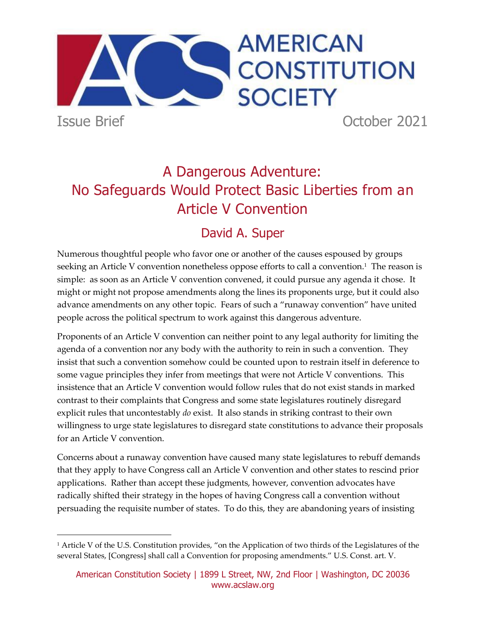

Issue Brief October 2021

# A Dangerous Adventure: No Safeguards Would Protect Basic Liberties from an Article V Convention

## David A. Super

Numerous thoughtful people who favor one or another of the causes espoused by groups seeking an Article V convention nonetheless oppose efforts to call a convention. $^1$  The reason is simple: as soon as an Article V convention convened, it could pursue any agenda it chose. It might or might not propose amendments along the lines its proponents urge, but it could also advance amendments on any other topic. Fears of such a "runaway convention" have united people across the political spectrum to work against this dangerous adventure.

Proponents of an Article V convention can neither point to any legal authority for limiting the agenda of a convention nor any body with the authority to rein in such a convention. They insist that such a convention somehow could be counted upon to restrain itself in deference to some vague principles they infer from meetings that were not Article V conventions. This insistence that an Article V convention would follow rules that do not exist stands in marked contrast to their complaints that Congress and some state legislatures routinely disregard explicit rules that uncontestably *do* exist. It also stands in striking contrast to their own willingness to urge state legislatures to disregard state constitutions to advance their proposals for an Article V convention.

Concerns about a runaway convention have caused many state legislatures to rebuff demands that they apply to have Congress call an Article V convention and other states to rescind prior applications. Rather than accept these judgments, however, convention advocates have radically shifted their strategy in the hopes of having Congress call a convention without persuading the requisite number of states. To do this, they are abandoning years of insisting

<sup>&</sup>lt;sup>1</sup> Article V of the U.S. Constitution provides, "on the Application of two thirds of the Legislatures of the several States, [Congress] shall call a Convention for proposing amendments." U.S. Const. art. V.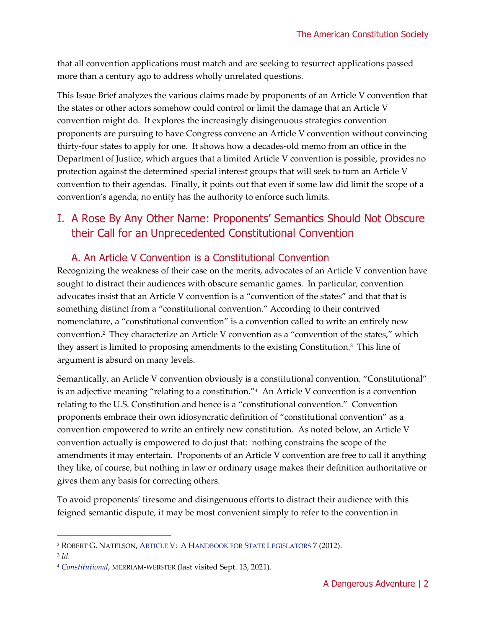that all convention applications must match and are seeking to resurrect applications passed more than a century ago to address wholly unrelated questions.

This Issue Brief analyzes the various claims made by proponents of an Article V convention that the states or other actors somehow could control or limit the damage that an Article V convention might do. It explores the increasingly disingenuous strategies convention proponents are pursuing to have Congress convene an Article V convention without convincing thirty-four states to apply for one. It shows how a decades-old memo from an office in the Department of Justice, which argues that a limited Article V convention is possible, provides no protection against the determined special interest groups that will seek to turn an Article V convention to their agendas. Finally, it points out that even if some law did limit the scope of a convention's agenda, no entity has the authority to enforce such limits.

## I. A Rose By Any Other Name: Proponents' Semantics Should Not Obscure their Call for an Unprecedented Constitutional Convention

#### A. An Article V Convention is a Constitutional Convention

Recognizing the weakness of their case on the merits, advocates of an Article V convention have sought to distract their audiences with obscure semantic games. In particular, convention advocates insist that an Article V convention is a "convention of the states" and that that is something distinct from a "constitutional convention." According to their contrived nomenclature, a "constitutional convention" is a convention called to write an entirely new convention.<sup>2</sup> They characterize an Article V convention as a "convention of the states," which they assert is limited to proposing amendments to the existing Constitution.<sup>3</sup> This line of argument is absurd on many levels.

Semantically, an Article V convention obviously is a constitutional convention. "Constitutional" is an adjective meaning "relating to a constitution."<sup>4</sup> An Article V convention is a convention relating to the U.S. Constitution and hence is a "constitutional convention." Convention proponents embrace their own idiosyncratic definition of "constitutional convention" as a convention empowered to write an entirely new constitution. As noted below, an Article V convention actually is empowered to do just that: nothing constrains the scope of the amendments it may entertain. Proponents of an Article V convention are free to call it anything they like, of course, but nothing in law or ordinary usage makes their definition authoritative or gives them any basis for correcting others.

To avoid proponents' tiresome and disingenuous efforts to distract their audience with this feigned semantic dispute, it may be most convenient simply to refer to the convention in

<sup>2</sup> ROBERT G. NATELSON, ARTICLE V: A H[ANDBOOK FOR](https://www.alec.org/publication/article-v-handbook/) STATE LEGISLATORS 7 (2012).

<sup>3</sup> *Id.* 

<sup>4</sup> *[Constitutional](https://www.merriam-webster.com/dictionary/constitutional)*, MERRIAM-WEBSTER (last visited Sept. 13, 2021).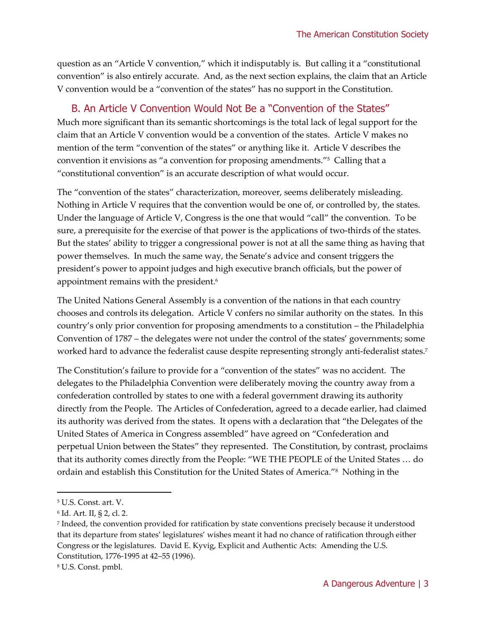question as an "Article V convention," which it indisputably is. But calling it a "constitutional convention" is also entirely accurate. And, as the next section explains, the claim that an Article V convention would be a "convention of the states" has no support in the Constitution.

#### B. An Article V Convention Would Not Be a "Convention of the States"

Much more significant than its semantic shortcomings is the total lack of legal support for the claim that an Article V convention would be a convention of the states. Article V makes no mention of the term "convention of the states" or anything like it. Article V describes the convention it envisions as "a convention for proposing amendments."<sup>5</sup> Calling that a "constitutional convention" is an accurate description of what would occur.

The "convention of the states" characterization, moreover, seems deliberately misleading. Nothing in Article V requires that the convention would be one of, or controlled by, the states. Under the language of Article V, Congress is the one that would "call" the convention. To be sure, a prerequisite for the exercise of that power is the applications of two-thirds of the states. But the states' ability to trigger a congressional power is not at all the same thing as having that power themselves. In much the same way, the Senate's advice and consent triggers the president's power to appoint judges and high executive branch officials, but the power of appointment remains with the president.<sup>6</sup>

The United Nations General Assembly is a convention of the nations in that each country chooses and controls its delegation. Article V confers no similar authority on the states. In this country's only prior convention for proposing amendments to a constitution – the Philadelphia Convention of 1787 – the delegates were not under the control of the states' governments; some worked hard to advance the federalist cause despite representing strongly anti-federalist states.<sup>7</sup>

The Constitution's failure to provide for a "convention of the states" was no accident. The delegates to the Philadelphia Convention were deliberately moving the country away from a confederation controlled by states to one with a federal government drawing its authority directly from the People. The Articles of Confederation, agreed to a decade earlier, had claimed its authority was derived from the states. It opens with a declaration that "the Delegates of the United States of America in Congress assembled" have agreed on "Confederation and perpetual Union between the States" they represented. The Constitution, by contrast, proclaims that its authority comes directly from the People: "WE THE PEOPLE of the United States … do ordain and establish this Constitution for the United States of America."<sup>8</sup> Nothing in the

<sup>5</sup> U.S. Const. art. V.

<sup>6</sup> Id. Art. II, § 2, cl. 2.

<sup>7</sup> Indeed, the convention provided for ratification by state conventions precisely because it understood that its departure from states' legislatures' wishes meant it had no chance of ratification through either Congress or the legislatures. David E. Kyvig, Explicit and Authentic Acts: Amending the U.S. Constitution, 1776-1995 at 42–55 (1996).

<sup>8</sup> U.S. Const. pmbl.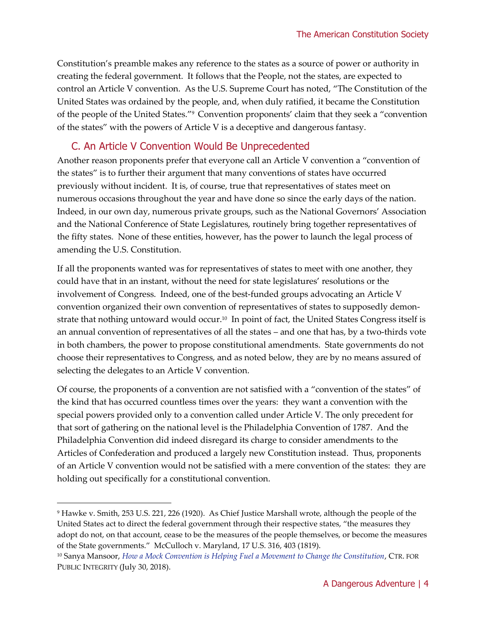Constitution's preamble makes any reference to the states as a source of power or authority in creating the federal government. It follows that the People, not the states, are expected to control an Article V convention. As the U.S. Supreme Court has noted, "The Constitution of the United States was ordained by the people, and, when duly ratified, it became the Constitution of the people of the United States."<sup>9</sup> Convention proponents' claim that they seek a "convention of the states" with the powers of Article V is a deceptive and dangerous fantasy.

#### C. An Article V Convention Would Be Unprecedented

Another reason proponents prefer that everyone call an Article V convention a "convention of the states" is to further their argument that many conventions of states have occurred previously without incident. It is, of course, true that representatives of states meet on numerous occasions throughout the year and have done so since the early days of the nation. Indeed, in our own day, numerous private groups, such as the National Governors' Association and the National Conference of State Legislatures, routinely bring together representatives of the fifty states. None of these entities, however, has the power to launch the legal process of amending the U.S. Constitution.

If all the proponents wanted was for representatives of states to meet with one another, they could have that in an instant, without the need for state legislatures' resolutions or the involvement of Congress. Indeed, one of the best-funded groups advocating an Article V convention organized their own convention of representatives of states to supposedly demonstrate that nothing untoward would occur. $^{\scriptscriptstyle 10}$  In point of fact, the United States Congress itself is an annual convention of representatives of all the states – and one that has, by a two-thirds vote in both chambers, the power to propose constitutional amendments. State governments do not choose their representatives to Congress, and as noted below, they are by no means assured of selecting the delegates to an Article V convention.

Of course, the proponents of a convention are not satisfied with a "convention of the states" of the kind that has occurred countless times over the years: they want a convention with the special powers provided only to a convention called under Article V. The only precedent for that sort of gathering on the national level is the Philadelphia Convention of 1787. And the Philadelphia Convention did indeed disregard its charge to consider amendments to the Articles of Confederation and produced a largely new Constitution instead. Thus, proponents of an Article V convention would not be satisfied with a mere convention of the states: they are holding out specifically for a constitutional convention.

<sup>9</sup> Hawke v. Smith, 253 U.S. 221, 226 (1920). As Chief Justice Marshall wrote, although the people of the United States act to direct the federal government through their respective states, "the measures they adopt do not, on that account, cease to be the measures of the people themselves, or become the measures of the State governments." McCulloch v. Maryland, 17 U.S. 316, 403 (1819).

<sup>&</sup>lt;sup>10</sup> Sanya Mansoor, *[How a Mock Convention is Helping Fuel a Movement to Change the Constitution](https://publicintegrity.org/politics/state-politics/how-a-mock-convention-is-helping-fuel-a-movement-to-change-the-constitution/)*, CTR. FOR PUBLIC INTEGRITY (July 30, 2018).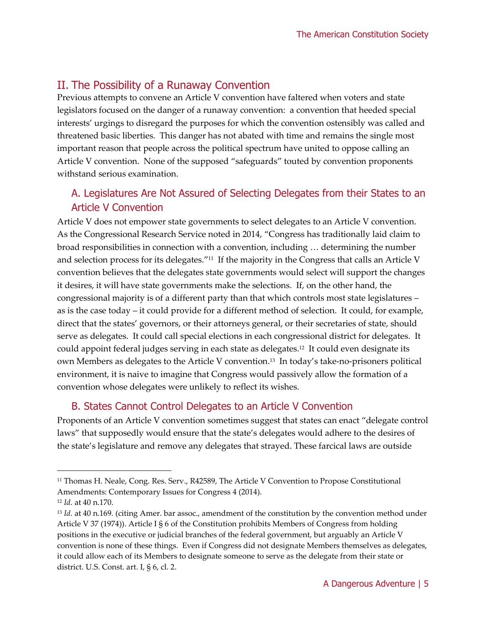## II. The Possibility of a Runaway Convention

Previous attempts to convene an Article V convention have faltered when voters and state legislators focused on the danger of a runaway convention: a convention that heeded special interests' urgings to disregard the purposes for which the convention ostensibly was called and threatened basic liberties. This danger has not abated with time and remains the single most important reason that people across the political spectrum have united to oppose calling an Article V convention. None of the supposed "safeguards" touted by convention proponents withstand serious examination.

## A. Legislatures Are Not Assured of Selecting Delegates from their States to an Article V Convention

Article V does not empower state governments to select delegates to an Article V convention. As the Congressional Research Service noted in 2014, "Congress has traditionally laid claim to broad responsibilities in connection with a convention, including … determining the number and selection process for its delegates."<sup>11</sup> If the majority in the Congress that calls an Article V convention believes that the delegates state governments would select will support the changes it desires, it will have state governments make the selections. If, on the other hand, the congressional majority is of a different party than that which controls most state legislatures – as is the case today – it could provide for a different method of selection. It could, for example, direct that the states' governors, or their attorneys general, or their secretaries of state, should serve as delegates. It could call special elections in each congressional district for delegates. It could appoint federal judges serving in each state as delegates.<sup>12</sup> It could even designate its own Members as delegates to the Article V convention.<sup>13</sup> In today's take-no-prisoners political environment, it is naive to imagine that Congress would passively allow the formation of a convention whose delegates were unlikely to reflect its wishes.

#### B. States Cannot Control Delegates to an Article V Convention

Proponents of an Article V convention sometimes suggest that states can enact "delegate control laws" that supposedly would ensure that the state's delegates would adhere to the desires of the state's legislature and remove any delegates that strayed. These farcical laws are outside

<sup>11</sup> Thomas H. Neale, Cong. Res. Serv., R42589, The Article V Convention to Propose Constitutional Amendments: Contemporary Issues for Congress 4 (2014).

<sup>12</sup> *Id.* at 40 n.170.

<sup>13</sup> *Id.* at 40 n.169*.* (citing Amer. bar assoc., amendment of the constitution by the convention method under Article V 37 (1974)). Article I § 6 of the Constitution prohibits Members of Congress from holding positions in the executive or judicial branches of the federal government, but arguably an Article V convention is none of these things. Even if Congress did not designate Members themselves as delegates, it could allow each of its Members to designate someone to serve as the delegate from their state or district. U.S. Const. art. I, § 6, cl. 2.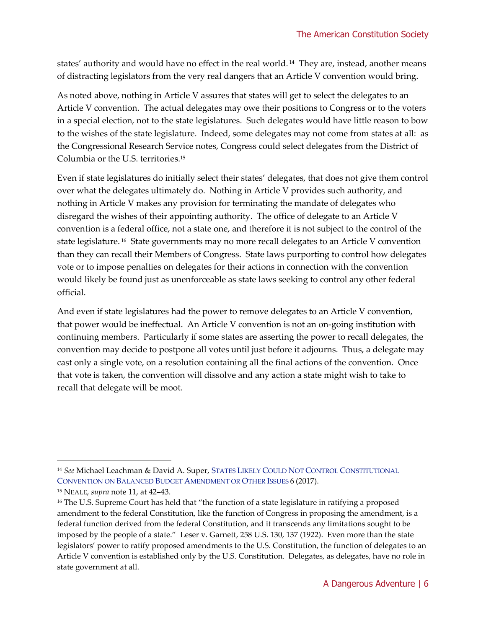states' authority and would have no effect in the real world. <sup>14</sup> They are, instead, another means of distracting legislators from the very real dangers that an Article V convention would bring.

As noted above, nothing in Article V assures that states will get to select the delegates to an Article V convention. The actual delegates may owe their positions to Congress or to the voters in a special election, not to the state legislatures. Such delegates would have little reason to bow to the wishes of the state legislature. Indeed, some delegates may not come from states at all: as the Congressional Research Service notes, Congress could select delegates from the District of Columbia or the U.S. territories.<sup>15</sup>

Even if state legislatures do initially select their states' delegates, that does not give them control over what the delegates ultimately do. Nothing in Article V provides such authority, and nothing in Article V makes any provision for terminating the mandate of delegates who disregard the wishes of their appointing authority. The office of delegate to an Article V convention is a federal office, not a state one, and therefore it is not subject to the control of the state legislature. <sup>16</sup> State governments may no more recall delegates to an Article V convention than they can recall their Members of Congress. State laws purporting to control how delegates vote or to impose penalties on delegates for their actions in connection with the convention would likely be found just as unenforceable as state laws seeking to control any other federal official.

And even if state legislatures had the power to remove delegates to an Article V convention, that power would be ineffectual. An Article V convention is not an on-going institution with continuing members. Particularly if some states are asserting the power to recall delegates, the convention may decide to postpone all votes until just before it adjourns. Thus, a delegate may cast only a single vote, on a resolution containing all the final actions of the convention. Once that vote is taken, the convention will dissolve and any action a state might wish to take to recall that delegate will be moot.

<sup>14</sup> *See* Michael Leachman & David A. Super, STATES LIKELY COULD NOT CONTROL C[ONSTITUTIONAL](https://www.cbpp.org/sites/default/files/atoms/files/7-16-14sfp.pdf)  C[ONVENTION ON](https://www.cbpp.org/sites/default/files/atoms/files/7-16-14sfp.pdf) BALANCED BUDGET AMENDMENT OR OTHER ISSUES 6 (2017).

<sup>15</sup> NEALE, *supra* note 11, at 42–43.

<sup>&</sup>lt;sup>16</sup> The U.S. Supreme Court has held that "the function of a state legislature in ratifying a proposed amendment to the federal Constitution, like the function of Congress in proposing the amendment, is a federal function derived from the federal Constitution, and it transcends any limitations sought to be imposed by the people of a state." Leser v. Garnett, 258 U.S. 130, 137 (1922). Even more than the state legislators' power to ratify proposed amendments to the U.S. Constitution, the function of delegates to an Article V convention is established only by the U.S. Constitution. Delegates, as delegates, have no role in state government at all.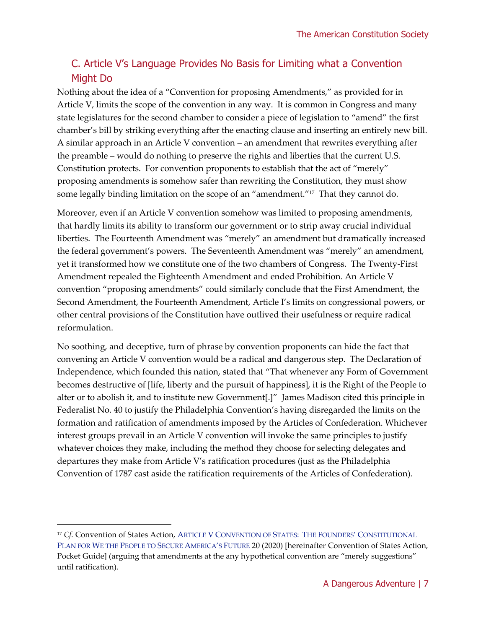## C. Article V's Language Provides No Basis for Limiting what a Convention Might Do

Nothing about the idea of a "Convention for proposing Amendments," as provided for in Article V, limits the scope of the convention in any way. It is common in Congress and many state legislatures for the second chamber to consider a piece of legislation to "amend" the first chamber's bill by striking everything after the enacting clause and inserting an entirely new bill. A similar approach in an Article V convention – an amendment that rewrites everything after the preamble – would do nothing to preserve the rights and liberties that the current U.S. Constitution protects. For convention proponents to establish that the act of "merely" proposing amendments is somehow safer than rewriting the Constitution, they must show some legally binding limitation on the scope of an "amendment."<sup>17</sup> That they cannot do.

Moreover, even if an Article V convention somehow was limited to proposing amendments, that hardly limits its ability to transform our government or to strip away crucial individual liberties. The Fourteenth Amendment was "merely" an amendment but dramatically increased the federal government's powers. The Seventeenth Amendment was "merely" an amendment, yet it transformed how we constitute one of the two chambers of Congress. The Twenty-First Amendment repealed the Eighteenth Amendment and ended Prohibition. An Article V convention "proposing amendments" could similarly conclude that the First Amendment, the Second Amendment, the Fourteenth Amendment, Article I's limits on congressional powers, or other central provisions of the Constitution have outlived their usefulness or require radical reformulation.

No soothing, and deceptive, turn of phrase by convention proponents can hide the fact that convening an Article V convention would be a radical and dangerous step. The Declaration of Independence, which founded this nation, stated that "That whenever any Form of Government becomes destructive of [life, liberty and the pursuit of happiness], it is the Right of the People to alter or to abolish it, and to institute new Government[.]" James Madison cited this principle in Federalist No. 40 to justify the Philadelphia Convention's having disregarded the limits on the formation and ratification of amendments imposed by the Articles of Confederation. Whichever interest groups prevail in an Article V convention will invoke the same principles to justify whatever choices they make, including the method they choose for selecting delegates and departures they make from Article V's ratification procedures (just as the Philadelphia Convention of 1787 cast aside the ratification requirements of the Articles of Confederation).

<sup>&</sup>lt;sup>17</sup> Cf. Convention of States Action, ARTICLE V CONVENTION OF STATES: THE FOUNDERS' CONSTITUTIONAL PLAN FOR WE THE P[EOPLE TO](https://cosaction-prod.s3.amazonaws.com/public/pocket_guide_digital.pdf) SECURE AMERICA'S FUTURE 20 (2020) [hereinafter Convention of States Action, Pocket Guide] (arguing that amendments at the any hypothetical convention are "merely suggestions" until ratification).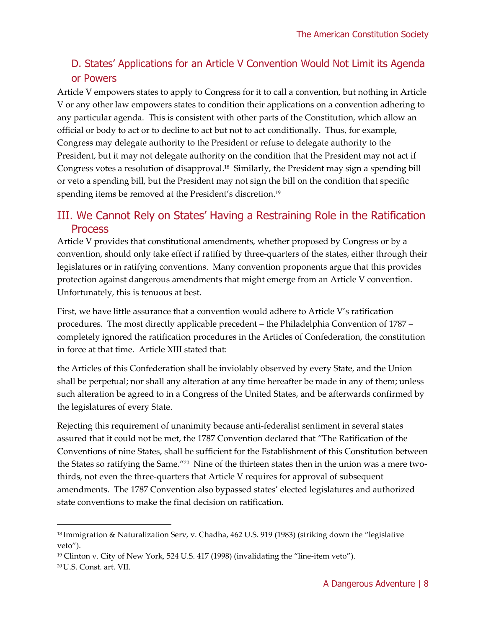## D. States' Applications for an Article V Convention Would Not Limit its Agenda or Powers

Article V empowers states to apply to Congress for it to call a convention, but nothing in Article V or any other law empowers states to condition their applications on a convention adhering to any particular agenda. This is consistent with other parts of the Constitution, which allow an official or body to act or to decline to act but not to act conditionally. Thus, for example, Congress may delegate authority to the President or refuse to delegate authority to the President, but it may not delegate authority on the condition that the President may not act if Congress votes a resolution of disapproval.<sup>18</sup> Similarly, the President may sign a spending bill or veto a spending bill, but the President may not sign the bill on the condition that specific spending items be removed at the President's discretion.<sup>19</sup>

## III. We Cannot Rely on States' Having a Restraining Role in the Ratification **Process**

Article V provides that constitutional amendments, whether proposed by Congress or by a convention, should only take effect if ratified by three-quarters of the states, either through their legislatures or in ratifying conventions. Many convention proponents argue that this provides protection against dangerous amendments that might emerge from an Article V convention. Unfortunately, this is tenuous at best.

First, we have little assurance that a convention would adhere to Article V's ratification procedures. The most directly applicable precedent – the Philadelphia Convention of 1787 – completely ignored the ratification procedures in the Articles of Confederation, the constitution in force at that time. Article XIII stated that:

the Articles of this Confederation shall be inviolably observed by every State, and the Union shall be perpetual; nor shall any alteration at any time hereafter be made in any of them; unless such alteration be agreed to in a Congress of the United States, and be afterwards confirmed by the legislatures of every State.

Rejecting this requirement of unanimity because anti-federalist sentiment in several states assured that it could not be met, the 1787 Convention declared that "The Ratification of the Conventions of nine States, shall be sufficient for the Establishment of this Constitution between the States so ratifying the Same."<sup>20</sup> Nine of the thirteen states then in the union was a mere twothirds, not even the three-quarters that Article V requires for approval of subsequent amendments. The 1787 Convention also bypassed states' elected legislatures and authorized state conventions to make the final decision on ratification.

<sup>18</sup> Immigration & Naturalization Serv, v. Chadha, 462 U.S. 919 (1983) (striking down the "legislative veto").

 $19$  Clinton v. City of New York, 524 U.S. 417 (1998) (invalidating the "line-item veto").

<sup>20</sup> U.S. Const. art. VII.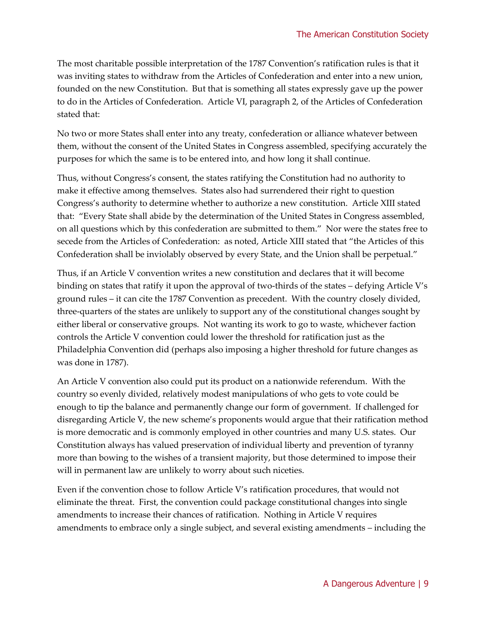The most charitable possible interpretation of the 1787 Convention's ratification rules is that it was inviting states to withdraw from the Articles of Confederation and enter into a new union, founded on the new Constitution. But that is something all states expressly gave up the power to do in the Articles of Confederation. Article VI, paragraph 2, of the Articles of Confederation stated that:

No two or more States shall enter into any treaty, confederation or alliance whatever between them, without the consent of the United States in Congress assembled, specifying accurately the purposes for which the same is to be entered into, and how long it shall continue.

Thus, without Congress's consent, the states ratifying the Constitution had no authority to make it effective among themselves. States also had surrendered their right to question Congress's authority to determine whether to authorize a new constitution. Article XIII stated that: "Every State shall abide by the determination of the United States in Congress assembled, on all questions which by this confederation are submitted to them." Nor were the states free to secede from the Articles of Confederation: as noted, Article XIII stated that "the Articles of this Confederation shall be inviolably observed by every State, and the Union shall be perpetual."

Thus, if an Article V convention writes a new constitution and declares that it will become binding on states that ratify it upon the approval of two-thirds of the states – defying Article V's ground rules – it can cite the 1787 Convention as precedent. With the country closely divided, three-quarters of the states are unlikely to support any of the constitutional changes sought by either liberal or conservative groups. Not wanting its work to go to waste, whichever faction controls the Article V convention could lower the threshold for ratification just as the Philadelphia Convention did (perhaps also imposing a higher threshold for future changes as was done in 1787).

An Article V convention also could put its product on a nationwide referendum. With the country so evenly divided, relatively modest manipulations of who gets to vote could be enough to tip the balance and permanently change our form of government. If challenged for disregarding Article V, the new scheme's proponents would argue that their ratification method is more democratic and is commonly employed in other countries and many U.S. states. Our Constitution always has valued preservation of individual liberty and prevention of tyranny more than bowing to the wishes of a transient majority, but those determined to impose their will in permanent law are unlikely to worry about such niceties.

Even if the convention chose to follow Article V's ratification procedures, that would not eliminate the threat. First, the convention could package constitutional changes into single amendments to increase their chances of ratification. Nothing in Article V requires amendments to embrace only a single subject, and several existing amendments – including the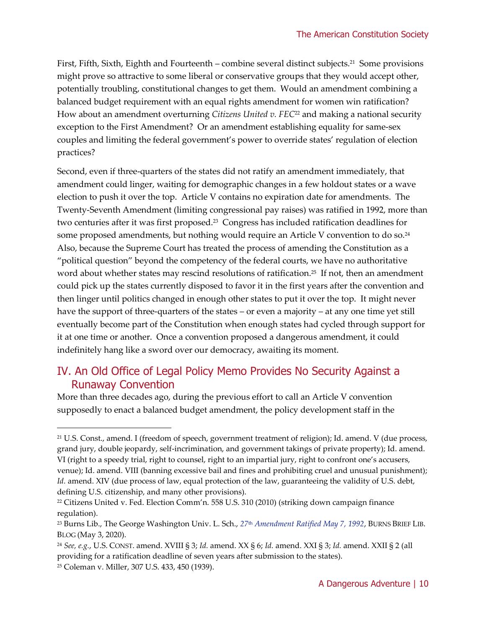First, Fifth, Sixth, Eighth and Fourteenth – combine several distinct subjects.<sup>21</sup> Some provisions might prove so attractive to some liberal or conservative groups that they would accept other, potentially troubling, constitutional changes to get them. Would an amendment combining a balanced budget requirement with an equal rights amendment for women win ratification? How about an amendment overturning *Citizens United v. FEC*<sup>22</sup> and making a national security exception to the First Amendment? Or an amendment establishing equality for same-sex couples and limiting the federal government's power to override states' regulation of election practices?

Second, even if three-quarters of the states did not ratify an amendment immediately, that amendment could linger, waiting for demographic changes in a few holdout states or a wave election to push it over the top. Article V contains no expiration date for amendments. The Twenty-Seventh Amendment (limiting congressional pay raises) was ratified in 1992, more than two centuries after it was first proposed.<sup>23</sup> Congress has included ratification deadlines for some proposed amendments, but nothing would require an Article V convention to do so. $^{\scriptscriptstyle 24}$ Also, because the Supreme Court has treated the process of amending the Constitution as a "political question" beyond the competency of the federal courts, we have no authoritative word about whether states may rescind resolutions of ratification.<sup>25</sup> If not, then an amendment could pick up the states currently disposed to favor it in the first years after the convention and then linger until politics changed in enough other states to put it over the top. It might never have the support of three-quarters of the states – or even a majority – at any one time yet still eventually become part of the Constitution when enough states had cycled through support for it at one time or another. Once a convention proposed a dangerous amendment, it could indefinitely hang like a sword over our democracy, awaiting its moment.

## IV. An Old Office of Legal Policy Memo Provides No Security Against a Runaway Convention

More than three decades ago, during the previous effort to call an Article V convention supposedly to enact a balanced budget amendment, the policy development staff in the

<sup>21</sup> U.S. Const., amend. I (freedom of speech, government treatment of religion); Id. amend. V (due process, grand jury, double jeopardy, self-incrimination, and government takings of private property); Id. amend. VI (right to a speedy trial, right to counsel, right to an impartial jury, right to confront one's accusers, venue); Id. amend. VIII (banning excessive bail and fines and prohibiting cruel and unusual punishment); Id. amend. XIV (due process of law, equal protection of the law, guaranteeing the validity of U.S. debt, defining U.S. citizenship, and many other provisions).

<sup>22</sup> Citizens United v. Fed. Election Comm'n. 558 U.S. 310 (2010) (striking down campaign finance regulation).

<sup>23</sup> Burns Lib., The George Washington Univ. L. Sch., *27*th *[Amendment Ratified May 7, 1992](https://blogs.law.gwu.edu/gwlawlibrary/2020/05/03/27th-amendment-ratified-may-7-1992-2/#.YT_A5iuSmM8)*, BURNS BRIEF LIB. BLOG (May 3, 2020).

<sup>24</sup> *See, e.g.*, U.S. CONST. amend. XVIII § 3; *Id.* amend. XX § 6; *Id.* amend. XXI § 3; *Id.* amend. XXII § 2 (all providing for a ratification deadline of seven years after submission to the states).

<sup>25</sup> Coleman v. Miller, 307 U.S. 433, 450 (1939).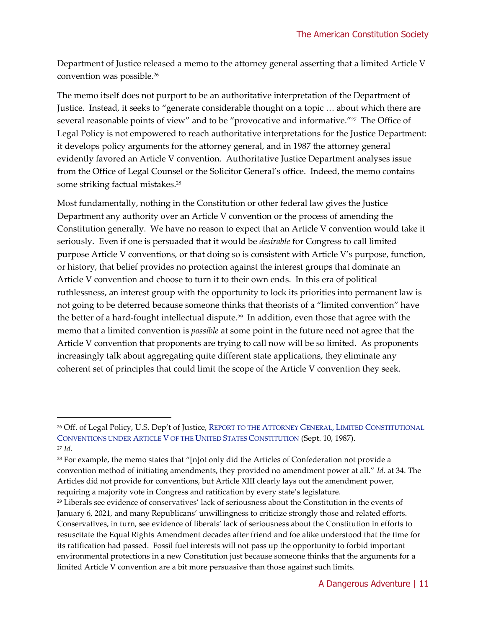Department of Justice released a memo to the attorney general asserting that a limited Article V convention was possible.<sup>26</sup>

The memo itself does not purport to be an authoritative interpretation of the Department of Justice. Instead, it seeks to "generate considerable thought on a topic … about which there are several reasonable points of view" and to be "provocative and informative."<sup>27</sup> The Office of Legal Policy is not empowered to reach authoritative interpretations for the Justice Department: it develops policy arguments for the attorney general, and in 1987 the attorney general evidently favored an Article V convention. Authoritative Justice Department analyses issue from the Office of Legal Counsel or the Solicitor General's office. Indeed, the memo contains some striking factual mistakes.<sup>28</sup>

Most fundamentally, nothing in the Constitution or other federal law gives the Justice Department any authority over an Article V convention or the process of amending the Constitution generally. We have no reason to expect that an Article V convention would take it seriously. Even if one is persuaded that it would be *desirable* for Congress to call limited purpose Article V conventions, or that doing so is consistent with Article V's purpose, function, or history, that belief provides no protection against the interest groups that dominate an Article V convention and choose to turn it to their own ends. In this era of political ruthlessness, an interest group with the opportunity to lock its priorities into permanent law is not going to be deterred because someone thinks that theorists of a "limited convention" have the better of a hard-fought intellectual dispute.<sup>29</sup> In addition, even those that agree with the memo that a limited convention is *possible* at some point in the future need not agree that the Article V convention that proponents are trying to call now will be so limited. As proponents increasingly talk about aggregating quite different state applications, they eliminate any coherent set of principles that could limit the scope of the Article V convention they seek.

<sup>26</sup> Off. of Legal Policy, U.S. Dep't of Justice, REPORT TO THE ATTORNEY GENERAL, LIMITED C[ONSTITUTIONAL](https://www.ojp.gov/pdffiles1/Digitization/115134NCJRS.pdf)  C[ONVENTIONS UNDER](https://www.ojp.gov/pdffiles1/Digitization/115134NCJRS.pdf) ARTICLE V OF THE UNITED STATES CONSTITUTION (Sept. 10, 1987). <sup>27</sup> *Id.* 

 $28$  For example, the memo states that "[n]ot only did the Articles of Confederation not provide a convention method of initiating amendments, they provided no amendment power at all." *Id.* at 34. The Articles did not provide for conventions, but Article XIII clearly lays out the amendment power, requiring a majority vote in Congress and ratification by every state's legislature.

<sup>29</sup> Liberals see evidence of conservatives' lack of seriousness about the Constitution in the events of January 6, 2021, and many Republicans' unwillingness to criticize strongly those and related efforts. Conservatives, in turn, see evidence of liberals' lack of seriousness about the Constitution in efforts to resuscitate the Equal Rights Amendment decades after friend and foe alike understood that the time for its ratification had passed. Fossil fuel interests will not pass up the opportunity to forbid important environmental protections in a new Constitution just because someone thinks that the arguments for a limited Article V convention are a bit more persuasive than those against such limits.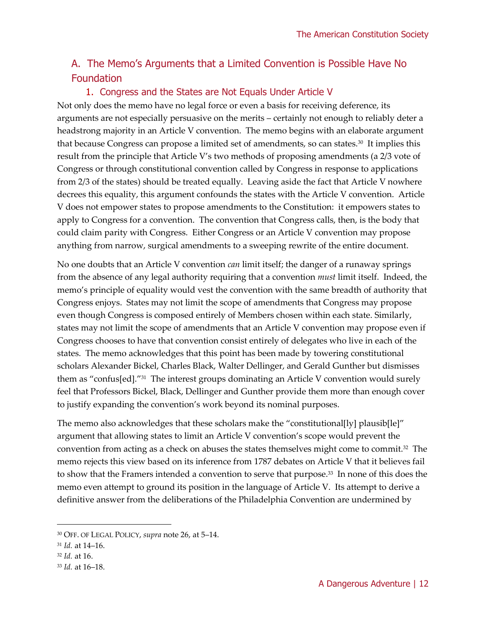## A. The Memo's Arguments that a Limited Convention is Possible Have No Foundation

#### 1. Congress and the States are Not Equals Under Article V

Not only does the memo have no legal force or even a basis for receiving deference, its arguments are not especially persuasive on the merits – certainly not enough to reliably deter a headstrong majority in an Article V convention. The memo begins with an elaborate argument that because Congress can propose a limited set of amendments, so can states.<sup>30</sup> It implies this result from the principle that Article V's two methods of proposing amendments (a 2/3 vote of Congress or through constitutional convention called by Congress in response to applications from 2/3 of the states) should be treated equally. Leaving aside the fact that Article V nowhere decrees this equality, this argument confounds the states with the Article V convention. Article V does not empower states to propose amendments to the Constitution: it empowers states to apply to Congress for a convention. The convention that Congress calls, then, is the body that could claim parity with Congress. Either Congress or an Article V convention may propose anything from narrow, surgical amendments to a sweeping rewrite of the entire document.

No one doubts that an Article V convention *can* limit itself; the danger of a runaway springs from the absence of any legal authority requiring that a convention *must* limit itself. Indeed, the memo's principle of equality would vest the convention with the same breadth of authority that Congress enjoys. States may not limit the scope of amendments that Congress may propose even though Congress is composed entirely of Members chosen within each state. Similarly, states may not limit the scope of amendments that an Article V convention may propose even if Congress chooses to have that convention consist entirely of delegates who live in each of the states. The memo acknowledges that this point has been made by towering constitutional scholars Alexander Bickel, Charles Black, Walter Dellinger, and Gerald Gunther but dismisses them as "confus[ed]."<sup>31</sup> The interest groups dominating an Article V convention would surely feel that Professors Bickel, Black, Dellinger and Gunther provide them more than enough cover to justify expanding the convention's work beyond its nominal purposes.

The memo also acknowledges that these scholars make the "constitutional[ly] plausib[le]" argument that allowing states to limit an Article V convention's scope would prevent the convention from acting as a check on abuses the states themselves might come to commit.<sup>32</sup> The memo rejects this view based on its inference from 1787 debates on Article V that it believes fail to show that the Framers intended a convention to serve that purpose.<sup>33</sup> In none of this does the memo even attempt to ground its position in the language of Article V. Its attempt to derive a definitive answer from the deliberations of the Philadelphia Convention are undermined by

<sup>30</sup> OFF. OF LEGAL POLICY, *supra* note 26, at 5–14.

<sup>31</sup> *Id.* at 14–16.

<sup>32</sup> *Id.* at 16.

<sup>33</sup> *Id.* at 16–18.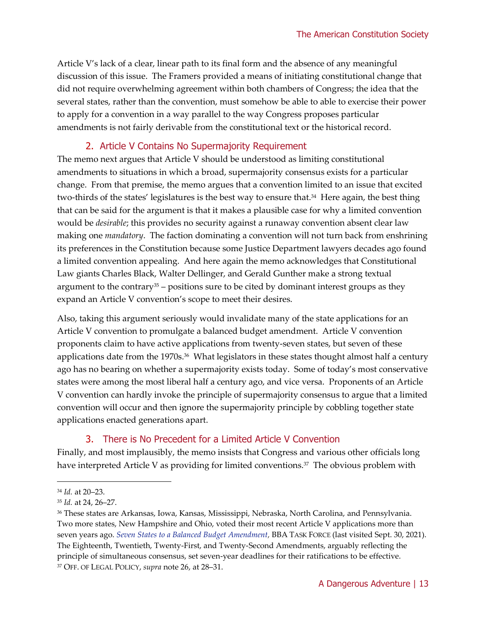Article V's lack of a clear, linear path to its final form and the absence of any meaningful discussion of this issue. The Framers provided a means of initiating constitutional change that did not require overwhelming agreement within both chambers of Congress; the idea that the several states, rather than the convention, must somehow be able to able to exercise their power to apply for a convention in a way parallel to the way Congress proposes particular amendments is not fairly derivable from the constitutional text or the historical record.

#### 2. Article V Contains No Supermajority Requirement

The memo next argues that Article V should be understood as limiting constitutional amendments to situations in which a broad, supermajority consensus exists for a particular change. From that premise, the memo argues that a convention limited to an issue that excited two-thirds of the states' legislatures is the best way to ensure that.<sup>34</sup> Here again, the best thing that can be said for the argument is that it makes a plausible case for why a limited convention would be *desirable*; this provides no security against a runaway convention absent clear law making one *mandatory*. The faction dominating a convention will not turn back from enshrining its preferences in the Constitution because some Justice Department lawyers decades ago found a limited convention appealing. And here again the memo acknowledges that Constitutional Law giants Charles Black, Walter Dellinger, and Gerald Gunther make a strong textual argument to the contrary<sup>35</sup> – positions sure to be cited by dominant interest groups as they expand an Article V convention's scope to meet their desires.

Also, taking this argument seriously would invalidate many of the state applications for an Article V convention to promulgate a balanced budget amendment. Article V convention proponents claim to have active applications from twenty-seven states, but seven of these applications date from the 1970s.<sup>36</sup> What legislators in these states thought almost half a century ago has no bearing on whether a supermajority exists today. Some of today's most conservative states were among the most liberal half a century ago, and vice versa. Proponents of an Article V convention can hardly invoke the principle of supermajority consensus to argue that a limited convention will occur and then ignore the supermajority principle by cobbling together state applications enacted generations apart.

#### 3. There is No Precedent for a Limited Article V Convention

Finally, and most implausibly, the memo insists that Congress and various other officials long have interpreted Article V as providing for limited conventions.<sup>37</sup> The obvious problem with

<sup>34</sup> *Id.* at 20–23.

<sup>35</sup> *Id.* at 24, 26–27.

<sup>36</sup> These states are Arkansas, Iowa, Kansas, Mississippi, Nebraska, North Carolina, and Pennsylvania. Two more states, New Hampshire and Ohio, voted their most recent Article V applications more than seven years ago. *Seven [States to a Balanced Budget Amendment,](http://bba4usa.org/)* BBA TASK FORCE (last visited Sept. 30, 2021). The Eighteenth, Twentieth, Twenty-First, and Twenty-Second Amendments, arguably reflecting the principle of simultaneous consensus, set seven-year deadlines for their ratifications to be effective. <sup>37</sup> OFF. OF LEGAL POLICY, *supra* note 26, at 28–31.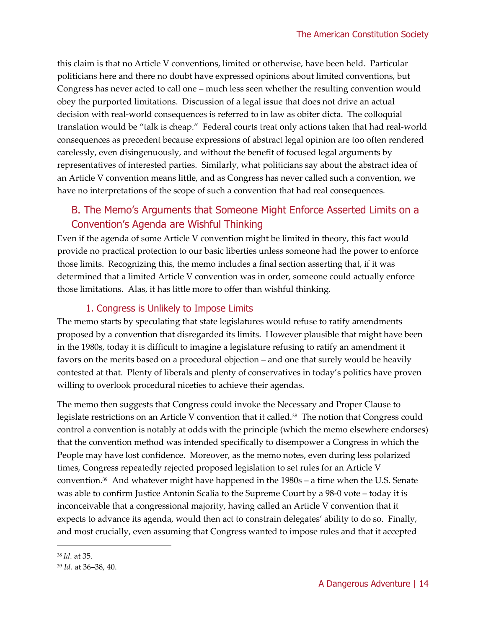this claim is that no Article V conventions, limited or otherwise, have been held. Particular politicians here and there no doubt have expressed opinions about limited conventions, but Congress has never acted to call one – much less seen whether the resulting convention would obey the purported limitations. Discussion of a legal issue that does not drive an actual decision with real-world consequences is referred to in law as obiter dicta. The colloquial translation would be "talk is cheap." Federal courts treat only actions taken that had real-world consequences as precedent because expressions of abstract legal opinion are too often rendered carelessly, even disingenuously, and without the benefit of focused legal arguments by representatives of interested parties. Similarly, what politicians say about the abstract idea of an Article V convention means little, and as Congress has never called such a convention, we have no interpretations of the scope of such a convention that had real consequences.

### B. The Memo's Arguments that Someone Might Enforce Asserted Limits on a Convention's Agenda are Wishful Thinking

Even if the agenda of some Article V convention might be limited in theory, this fact would provide no practical protection to our basic liberties unless someone had the power to enforce those limits. Recognizing this, the memo includes a final section asserting that, if it was determined that a limited Article V convention was in order, someone could actually enforce those limitations. Alas, it has little more to offer than wishful thinking.

#### 1. Congress is Unlikely to Impose Limits

The memo starts by speculating that state legislatures would refuse to ratify amendments proposed by a convention that disregarded its limits. However plausible that might have been in the 1980s, today it is difficult to imagine a legislature refusing to ratify an amendment it favors on the merits based on a procedural objection – and one that surely would be heavily contested at that. Plenty of liberals and plenty of conservatives in today's politics have proven willing to overlook procedural niceties to achieve their agendas.

The memo then suggests that Congress could invoke the Necessary and Proper Clause to legislate restrictions on an Article V convention that it called.<sup>38</sup> The notion that Congress could control a convention is notably at odds with the principle (which the memo elsewhere endorses) that the convention method was intended specifically to disempower a Congress in which the People may have lost confidence. Moreover, as the memo notes, even during less polarized times, Congress repeatedly rejected proposed legislation to set rules for an Article V convention.<sup>39</sup> And whatever might have happened in the 1980s – a time when the U.S. Senate was able to confirm Justice Antonin Scalia to the Supreme Court by a 98-0 vote – today it is inconceivable that a congressional majority, having called an Article V convention that it expects to advance its agenda, would then act to constrain delegates' ability to do so. Finally, and most crucially, even assuming that Congress wanted to impose rules and that it accepted

<sup>38</sup> *Id.* at 35.

<sup>39</sup> *Id.* at 36–38, 40.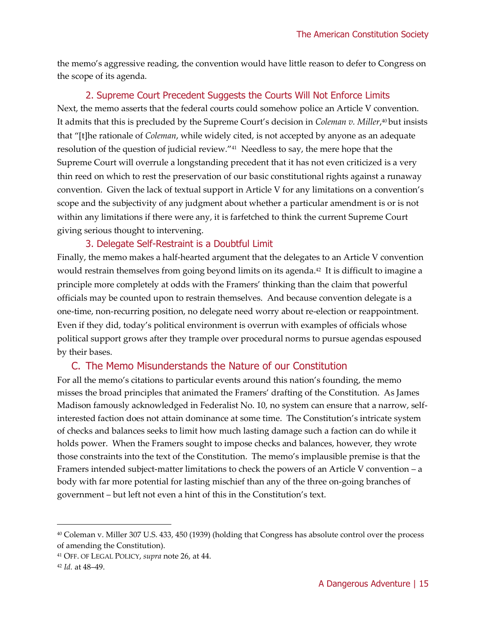the memo's aggressive reading, the convention would have little reason to defer to Congress on the scope of its agenda.

#### 2. Supreme Court Precedent Suggests the Courts Will Not Enforce Limits

Next, the memo asserts that the federal courts could somehow police an Article V convention. It admits that this is precluded by the Supreme Court's decision in *Coleman v. Miller*, <sup>40</sup> but insists that "[t]he rationale of *Coleman*, while widely cited, is not accepted by anyone as an adequate resolution of the question of judicial review."<sup>41</sup> Needless to say, the mere hope that the Supreme Court will overrule a longstanding precedent that it has not even criticized is a very thin reed on which to rest the preservation of our basic constitutional rights against a runaway convention. Given the lack of textual support in Article V for any limitations on a convention's scope and the subjectivity of any judgment about whether a particular amendment is or is not within any limitations if there were any, it is farfetched to think the current Supreme Court giving serious thought to intervening.

#### 3. Delegate Self-Restraint is a Doubtful Limit

Finally, the memo makes a half-hearted argument that the delegates to an Article V convention would restrain themselves from going beyond limits on its agenda.<sup>42</sup> It is difficult to imagine a principle more completely at odds with the Framers' thinking than the claim that powerful officials may be counted upon to restrain themselves. And because convention delegate is a one-time, non-recurring position, no delegate need worry about re-election or reappointment. Even if they did, today's political environment is overrun with examples of officials whose political support grows after they trample over procedural norms to pursue agendas espoused by their bases.

#### C. The Memo Misunderstands the Nature of our Constitution

For all the memo's citations to particular events around this nation's founding, the memo misses the broad principles that animated the Framers' drafting of the Constitution. As James Madison famously acknowledged in Federalist No. 10, no system can ensure that a narrow, selfinterested faction does not attain dominance at some time. The Constitution's intricate system of checks and balances seeks to limit how much lasting damage such a faction can do while it holds power. When the Framers sought to impose checks and balances, however, they wrote those constraints into the text of the Constitution. The memo's implausible premise is that the Framers intended subject-matter limitations to check the powers of an Article V convention – a body with far more potential for lasting mischief than any of the three on-going branches of government – but left not even a hint of this in the Constitution's text.

<sup>40</sup> Coleman v. Miller 307 U.S. 433, 450 (1939) (holding that Congress has absolute control over the process of amending the Constitution).

<sup>41</sup> OFF. OF LEGAL POLICY, *supra* note 26, at 44.

<sup>42</sup> *Id.* at 48–49.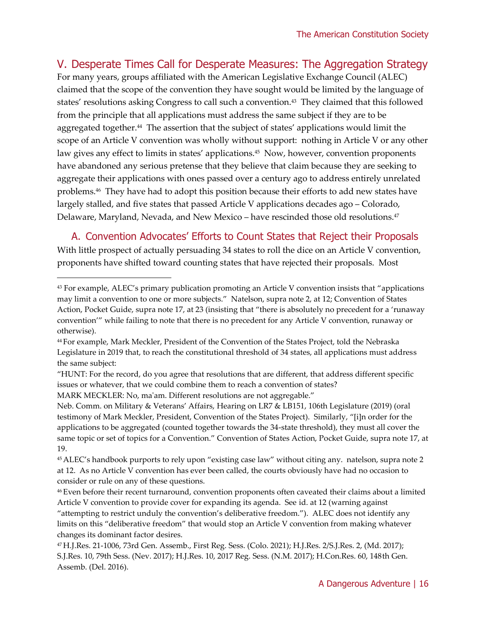V. Desperate Times Call for Desperate Measures: The Aggregation Strategy

For many years, groups affiliated with the American Legislative Exchange Council (ALEC) claimed that the scope of the convention they have sought would be limited by the language of states' resolutions asking Congress to call such a convention.<sup>43</sup> They claimed that this followed from the principle that all applications must address the same subject if they are to be aggregated together.<sup>44</sup> The assertion that the subject of states' applications would limit the scope of an Article V convention was wholly without support: nothing in Article V or any other law gives any effect to limits in states' applications.<sup>45</sup> Now, however, convention proponents have abandoned any serious pretense that they believe that claim because they are seeking to aggregate their applications with ones passed over a century ago to address entirely unrelated problems.<sup>46</sup> They have had to adopt this position because their efforts to add new states have largely stalled, and five states that passed Article V applications decades ago – Colorado, Delaware, Maryland, Nevada, and New Mexico – have rescinded those old resolutions.<sup>47</sup>

A. Convention Advocates' Efforts to Count States that Reject their Proposals With little prospect of actually persuading 34 states to roll the dice on an Article V convention, proponents have shifted toward counting states that have rejected their proposals. Most

MARK MECKLER: No, ma'am. Different resolutions are not aggregable."

Neb. Comm. on Military & Veterans' Affairs, [Hearing on LR7 & LB151,](https://www.nebraskalegislature.gov/FloorDocs/106/PDF/Transcripts/Government/2019-02-01.pdf) 106th Legislature (2019) (oral testimony of Mark Meckler, President, Convention of the States Project). Similarly, "[i]n order for the applications to be aggregated (counted together towards the 34-state threshold), they must all cover the same topic or set of topics for a Convention." Convention of States Action, Pocket Guide, supra note 17, at 19.

<sup>45</sup> ALEC's handbook purports to rely upon "existing case law" without citing any. natelson, supra note 2 at 12. As no Article V convention has ever been called, the courts obviously have had no occasion to consider or rule on any of these questions.

<sup>46</sup> Even before their recent turnaround, convention proponents often caveated their claims about a limited Article V convention to provide cover for expanding its agenda. See id. at 12 (warning against "attempting to restrict unduly the convention's deliberative freedom."). ALEC does not identify any limits on this "deliberative freedom" that would stop an Article V convention from making whatever changes its dominant factor desires.

<sup>43</sup> For example, ALEC's primary publication promoting an Article V convention insists that "applications may limit a convention to one or more subjects." Natelson, supra note 2, at 12; Convention of States Action, Pocket Guide, supra note 17, at 23 (insisting that "there is absolutely no precedent for a 'runaway convention'" while failing to note that there is no precedent for any Article V convention, runaway or otherwise).

<sup>44</sup> For example, Mark Meckler, President of the Convention of the States Project, told the Nebraska Legislature in 2019 that, to reach the constitutional threshold of 34 states, all applications must address the same subject:

<sup>&</sup>quot;HUNT: For the record, do you agree that resolutions that are different, that address different specific issues or whatever, that we could combine them to reach a convention of states?

<sup>47</sup> [H.J.Res. 21-1006,](https://leg.colorado.gov/bills/hjr21-1006) 73rd Gen. Assemb., First Reg. Sess. (Colo. 2021); H.J.Res. 2/S.J.Res. 2, (Md. 2017); S.J.Res. 10, 79th Sess. (Nev. 2017); H.J.Res. 10, 2017 Reg. Sess. (N.M. 2017); H.Con.Res. 60, 148th Gen. Assemb. (Del. 2016).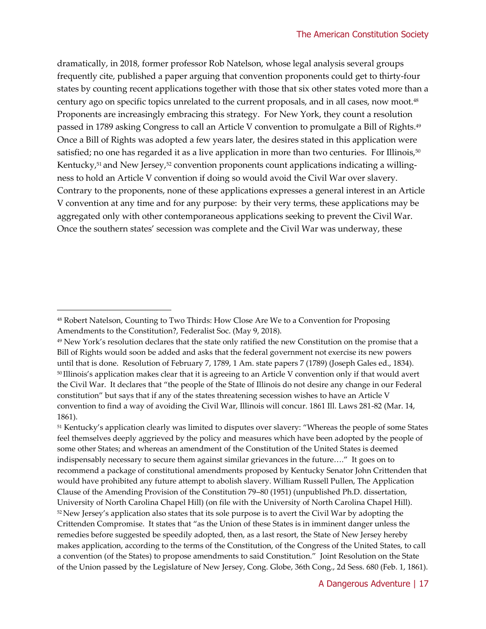dramatically, in 2018, former professor Rob Natelson, whose legal analysis several groups frequently cite, published a paper arguing that convention proponents could get to thirty-four states by counting recent applications together with those that six other states voted more than a century ago on specific topics unrelated to the current proposals, and in all cases, now moot.<sup>48</sup> Proponents are increasingly embracing this strategy. For New York, they count a resolution passed in 1789 asking Congress to call an Article V convention to promulgate a Bill of Rights.<sup>49</sup> Once a Bill of Rights was adopted a few years later, the desires stated in this application were satisfied; no one has regarded it as a live application in more than two centuries. For Illinois,<sup>50</sup> Kentucky,<sup>51</sup> and New Jersey,<sup>52</sup> convention proponents count applications indicating a willingness to hold an Article V convention if doing so would avoid the Civil War over slavery. Contrary to the proponents, none of these applications expresses a general interest in an Article V convention at any time and for any purpose: by their very terms, these applications may be aggregated only with other contemporaneous applications seeking to prevent the Civil War. Once the southern states' secession was complete and the Civil War was underway, these

<sup>51</sup> Kentucky's application clearly was limited to disputes over slavery: "Whereas the people of some States feel themselves deeply aggrieved by the policy and measures which have been adopted by the people of some other States; and whereas an amendment of the Constitution of the United States is deemed indispensably necessary to secure them against similar grievances in the future…." It goes on to recommend a package of constitutional amendments proposed by Kentucky Senator John Crittenden that would have prohibited any future attempt to abolish slavery. William Russell Pullen, The Application Clause of the Amending Provision of the Constitution 79–80 (1951) (unpublished Ph.D. dissertation, University of North Carolina Chapel Hill) (on file with the University of North Carolina Chapel Hill). <sup>52</sup> New Jersey's application also states that its sole purpose is to avert the Civil War by adopting the Crittenden Compromise. It states that "as the Union of these States is in imminent danger unless the remedies before suggested be speedily adopted, then, as a last resort, the State of New Jersey hereby makes application, according to the terms of the Constitution, of the Congress of the United States, to call a convention (of the States) to propose amendments to said Constitution." Joint Resolution on the State of the Union passed by the Legislature of New Jersey, Cong. Globe, 36th Cong., 2d Sess. 680 (Feb. 1, 1861).

<sup>48</sup> Robert Natelson, [Counting to Two Thirds: How Close Are We to a Convention for Proposing](https://fedsoc.org/commentary/publications/counting-to-two-thirds-how-close-are-we-to-a-convention-for-proposing-amendments-to-the-constitution)  [Amendments to the Constitution?](https://fedsoc.org/commentary/publications/counting-to-two-thirds-how-close-are-we-to-a-convention-for-proposing-amendments-to-the-constitution), Federalist Soc. (May 9, 2018).

<sup>&</sup>lt;sup>49</sup> New York's resolution declares that the state only ratified the new Constitution on the promise that a Bill of Rights would soon be added and asks that the federal government not exercise its new powers until that is done. Resolution of February 7, 1789, 1 Am. state papers 7 (1789) (Joseph Gales ed., 1834). <sup>50</sup> Illinois's application makes clear that it is agreeing to an Article V convention only if that would avert the Civil War. It declares that "the people of the State of Illinois do not desire any change in our Federal constitution" but says that if any of the states threatening secession wishes to have an Article V convention to find a way of avoiding the Civil War, Illinois will concur. 1861 Ill. Laws 281-82 (Mar. 14, 1861).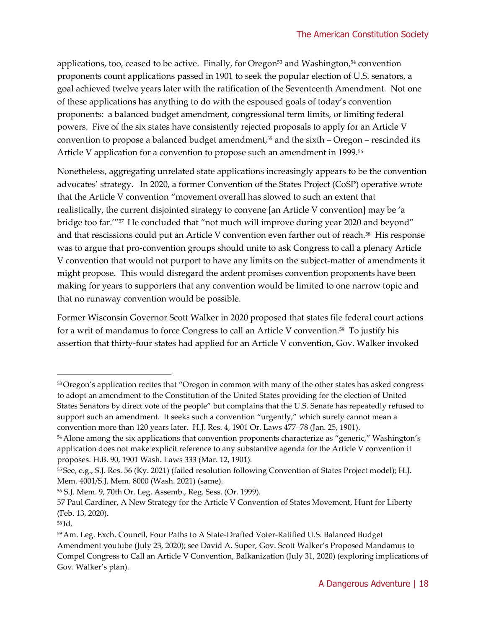applications, too, ceased to be active. Finally, for Oregon<sup>53</sup> and Washington,<sup>54</sup> convention proponents count applications passed in 1901 to seek the popular election of U.S. senators, a goal achieved twelve years later with the ratification of the Seventeenth Amendment. Not one of these applications has anything to do with the espoused goals of today's convention proponents: a balanced budget amendment, congressional term limits, or limiting federal powers. Five of the six states have consistently rejected proposals to apply for an Article V convention to propose a balanced budget amendment, $55$  and the sixth – Oregon – rescinded its Article V application for a convention to propose such an amendment in 1999.<sup>56</sup>

Nonetheless, aggregating unrelated state applications increasingly appears to be the convention advocates' strategy. In 2020, a former Convention of the States Project (CoSP) operative wrote that the Article V convention "movement overall has slowed to such an extent that realistically, the current disjointed strategy to convene [an Article V convention] may be 'a bridge too far."<sup>57</sup> He concluded that "not much will improve during year 2020 and beyond" and that rescissions could put an Article V convention even farther out of reach.<sup>58</sup> His response was to argue that pro-convention groups should unite to ask Congress to call a plenary Article V convention that would not purport to have any limits on the subject-matter of amendments it might propose. This would disregard the ardent promises convention proponents have been making for years to supporters that any convention would be limited to one narrow topic and that no runaway convention would be possible.

Former Wisconsin Governor Scott Walker in 2020 proposed that states file federal court actions for a writ of mandamus to force Congress to call an Article V convention.<sup>59</sup> To justify his assertion that thirty-four states had applied for an Article V convention, Gov. Walker invoked

<sup>53</sup>Oregon's application recites that "Oregon in common with many of the other states has asked congress to adopt an amendment to the Constitution of the United States providing for the election of United States Senators by direct vote of the people" but complains that the U.S. Senate has repeatedly refused to support such an amendment. It seeks such a convention "urgently," which surely cannot mean a convention more than 120 years later. H.J. Res. 4, 1901 Or. Laws 477–78 (Jan. 25, 1901).

<sup>&</sup>lt;sup>54</sup> Alone among the six applications that convention proponents characterize as "generic," Washington's application does not make explicit reference to any substantive agenda for the Article V convention it proposes. H.B. 90, 1901 Wash. Laws 333 (Mar. 12, 1901).

<sup>55</sup> See, e.g., S.J. Res. 56 (Ky. 2021) (failed resolution following Convention of States Project model); H.J. Mem. 4001/S.J. Mem. 8000 (Wash. 2021) (same).

<sup>56</sup> S.J. Mem. 9, 70th Or. Leg. Assemb., Reg. Sess. (Or. 1999).

<sup>57</sup> Paul Gardiner, [A New Strategy for the Article V Convention of States Movement,](https://huntforliberty.com/a-convention-strategy/#_edn6) Hunt for Liberty (Feb. 13, 2020).

<sup>58</sup> Id.

<sup>59</sup> Am. Leg. Exch. Council[, Four Paths to A State-Drafted Voter-Ratified U.S. Balanced Budget](https://www.alec.org/article/four-paths-to-a-state-drafted-voter-ratified-u-s-balance-budget-amendment-bba/)  [Amendment](https://www.alec.org/article/four-paths-to-a-state-drafted-voter-ratified-u-s-balance-budget-amendment-bba/) youtube (July 23, 2020); see David A. Super, [Gov. Scott Walker's Proposed Mandamus to](https://balkin.blogspot.com/2020/07/gov-scott-walkers-proposed-mandamus-to.html)  [Compel Congress to Call an Article V Convention,](https://balkin.blogspot.com/2020/07/gov-scott-walkers-proposed-mandamus-to.html) Balkanization (July 31, 2020) (exploring implications of Gov. Walker's plan).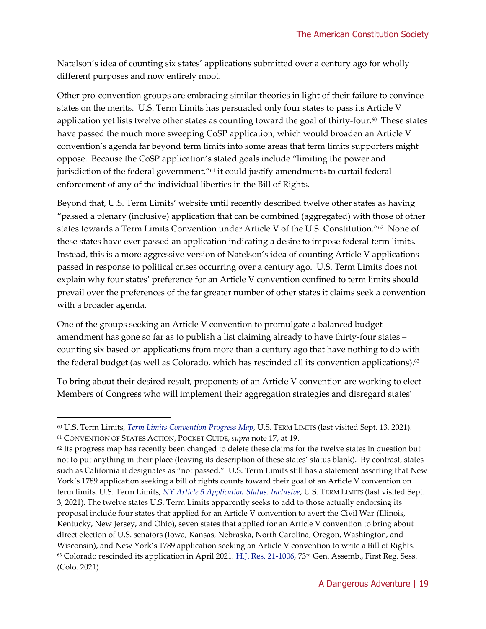Natelson's idea of counting six states' applications submitted over a century ago for wholly different purposes and now entirely moot.

Other pro-convention groups are embracing similar theories in light of their failure to convince states on the merits. U.S. Term Limits has persuaded only four states to pass its Article V application yet lists twelve other states as counting toward the goal of thirty-four. $^{60}$  These states have passed the much more sweeping CoSP application, which would broaden an Article V convention's agenda far beyond term limits into some areas that term limits supporters might oppose. Because the CoSP application's stated goals include "limiting the power and jurisdiction of the federal government,"<sup>61</sup> it could justify amendments to curtail federal enforcement of any of the individual liberties in the Bill of Rights.

Beyond that, U.S. Term Limits' website until recently described twelve other states as having "passed a plenary (inclusive) application that can be combined (aggregated) with those of other states towards a Term Limits Convention under Article V of the U.S. Constitution."<sup>62</sup> None of these states have ever passed an application indicating a desire to impose federal term limits. Instead, this is a more aggressive version of Natelson's idea of counting Article V applications passed in response to political crises occurring over a century ago. U.S. Term Limits does not explain why four states' preference for an Article V convention confined to term limits should prevail over the preferences of the far greater number of other states it claims seek a convention with a broader agenda.

One of the groups seeking an Article V convention to promulgate a balanced budget amendment has gone so far as to publish a list claiming already to have thirty-four states – counting six based on applications from more than a century ago that have nothing to do with the federal budget (as well as Colorado, which has rescinded all its convention applications). $^{63}$ 

To bring about their desired result, proponents of an Article V convention are working to elect Members of Congress who will implement their aggregation strategies and disregard states'

<sup>60</sup> U.S. Term Limits, *[Term Limits Convention Progress Map](https://www.termlimits.com/progress/)*, U.S. TERM LIMITS (last visited Sept. 13, 2021).

<sup>61</sup> CONVENTION OF STATES ACTION, POCKET GUIDE, *supra* note 17, at 19.

 $62$  Its progress map has recently been changed to delete these claims for the twelve states in question but not to put anything in their place (leaving its description of these states' status blank). By contrast, states such as California it designates as "not passed." U.S. Term Limits still has a statement asserting that New York's 1789 application seeking a bill of rights counts toward their goal of an Article V convention on term limits. U.S. Term Limits, *[NY Article 5 Application Status: Inclusive](https://www.termlimits.com/article-v/new-york/)*, U.S. TERM LIMITS (last visited Sept. 3, 2021). The twelve states U.S. Term Limits apparently seeks to add to those actually endorsing its proposal include four states that applied for an Article V convention to avert the Civil War (Illinois, Kentucky, New Jersey, and Ohio), seven states that applied for an Article V convention to bring about direct election of U.S. senators (Iowa, Kansas, Nebraska, North Carolina, Oregon, Washington, and Wisconsin), and New York's 1789 application seeking an Article V convention to write a Bill of Rights.  $63$  Colorado rescinded its application in April 2021. H.J. [Res. 21-1006,](https://leg.colorado.gov/bills/hjr21-1006) 73<sup>rd</sup> Gen. Assemb., First Reg. Sess. (Colo. 2021).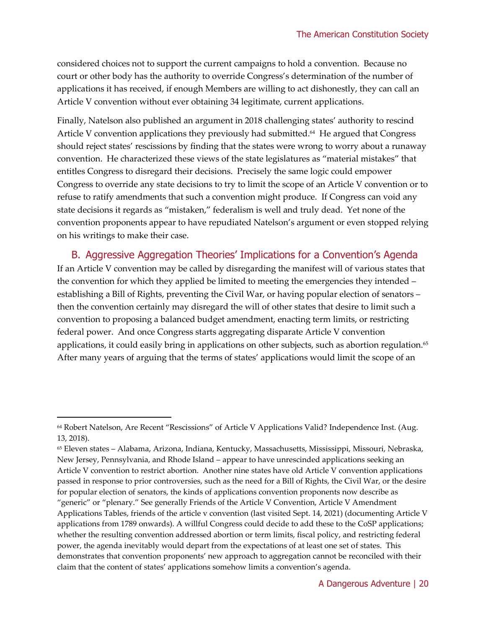considered choices not to support the current campaigns to hold a convention. Because no court or other body has the authority to override Congress's determination of the number of applications it has received, if enough Members are willing to act dishonestly, they can call an Article V convention without ever obtaining 34 legitimate, current applications.

Finally, Natelson also published an argument in 2018 challenging states' authority to rescind Article V convention applications they previously had submitted.<sup>64</sup> He argued that Congress should reject states' rescissions by finding that the states were wrong to worry about a runaway convention. He characterized these views of the state legislatures as "material mistakes" that entitles Congress to disregard their decisions. Precisely the same logic could empower Congress to override any state decisions to try to limit the scope of an Article V convention or to refuse to ratify amendments that such a convention might produce. If Congress can void any state decisions it regards as "mistaken," federalism is well and truly dead. Yet none of the convention proponents appear to have repudiated Natelson's argument or even stopped relying on his writings to make their case.

B. Aggressive Aggregation Theories' Implications for a Convention's Agenda If an Article V convention may be called by disregarding the manifest will of various states that the convention for which they applied be limited to meeting the emergencies they intended – establishing a Bill of Rights, preventing the Civil War, or having popular election of senators – then the convention certainly may disregard the will of other states that desire to limit such a convention to proposing a balanced budget amendment, enacting term limits, or restricting federal power. And once Congress starts aggregating disparate Article V convention applications, it could easily bring in applications on other subjects, such as abortion regulation. $^{65}$ After many years of arguing that the terms of states' applications would limit the scope of an

<sup>64</sup> Robert Natelson, [Are Recent "Rescissions" of Article V Applications Valid?](https://i2i.org/are-recent-rescissions-of-article-v-applications-valid/) Independence Inst. (Aug. 13, 2018).

<sup>65</sup> Eleven states – Alabama, Arizona, Indiana, Kentucky, Massachusetts, Mississippi, Missouri, Nebraska, New Jersey, Pennsylvania, and Rhode Island – appear to have unrescinded applications seeking an Article V convention to restrict abortion. Another nine states have old Article V convention applications passed in response to prior controversies, such as the need for a Bill of Rights, the Civil War, or the desire for popular election of senators, the kinds of applications convention proponents now describe as "generic" or "plenary." See generally Friends of the Article V Convention[, Article V Amendment](https://foavc.org/01page/Articles/AmendmentsTables.htm)  [Applications Tables,](https://foavc.org/01page/Articles/AmendmentsTables.htm) friends of the article v convention (last visited Sept. 14, 2021) (documenting Article V applications from 1789 onwards). A willful Congress could decide to add these to the CoSP applications; whether the resulting convention addressed abortion or term limits, fiscal policy, and restricting federal power, the agenda inevitably would depart from the expectations of at least one set of states. This demonstrates that convention proponents' new approach to aggregation cannot be reconciled with their claim that the content of states' applications somehow limits a convention's agenda.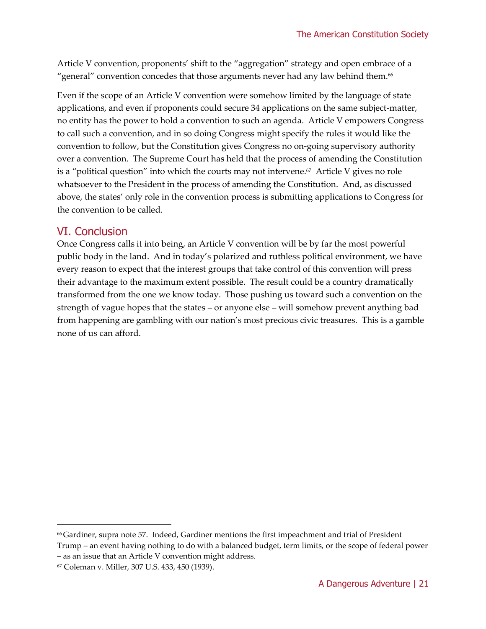Article V convention, proponents' shift to the "aggregation" strategy and open embrace of a "general" convention concedes that those arguments never had any law behind them.<sup>66</sup>

Even if the scope of an Article V convention were somehow limited by the language of state applications, and even if proponents could secure 34 applications on the same subject-matter, no entity has the power to hold a convention to such an agenda. Article V empowers Congress to call such a convention, and in so doing Congress might specify the rules it would like the convention to follow, but the Constitution gives Congress no on-going supervisory authority over a convention. The Supreme Court has held that the process of amending the Constitution is a "political question" into which the courts may not intervene. $67\,$  Article V gives no role whatsoever to the President in the process of amending the Constitution. And, as discussed above, the states' only role in the convention process is submitting applications to Congress for the convention to be called.

#### VI. Conclusion

Once Congress calls it into being, an Article V convention will be by far the most powerful public body in the land. And in today's polarized and ruthless political environment, we have every reason to expect that the interest groups that take control of this convention will press their advantage to the maximum extent possible. The result could be a country dramatically transformed from the one we know today. Those pushing us toward such a convention on the strength of vague hopes that the states – or anyone else – will somehow prevent anything bad from happening are gambling with our nation's most precious civic treasures. This is a gamble none of us can afford.

<sup>66</sup> Gardiner, supra note 57. Indeed, Gardiner mentions the first impeachment and trial of President

Trump – an event having nothing to do with a balanced budget, term limits, or the scope of federal power – as an issue that an Article V convention might address.

<sup>67</sup> Coleman v. Miller, 307 U.S. 433, 450 (1939).